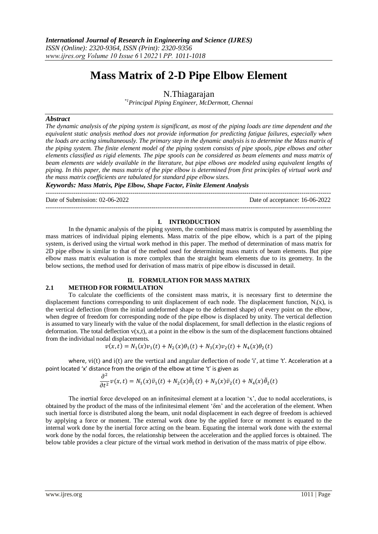# **Mass Matrix of 2-D Pipe Elbow Element**

## N.Thiagarajan

*\*1Principal Piping Engineer, McDermott, Chennai*

## *Abstract*

*The dynamic analysis of the piping system is significant, as most of the piping loads are time dependent and the equivalent static analysis method does not provide information for predicting fatigue failures, especially when the loads are acting simultaneously. The primary step in the dynamic analysis is to determine the Mass matrix of the piping system. The finite element model of the piping system consists of pipe spools, pipe elbows and other elements classified as rigid elements. The pipe spools can be considered as beam elements and mass matrix of beam elements are widely available in the literature, but pipe elbows are modeled using equivalent lengths of piping. In this paper, the mass matrix of the pipe elbow is determined from first principles of virtual work and the mass matrix coefficients are tabulated for standard pipe elbow sizes.*

*Keywords: Mass Matrix, Pipe Elbow, Shape Factor, Finite Element Analysis*

--------------------------------------------------------------------------------------------------------------------------------------- Date of Submission: 02-06-2022 Date of acceptance: 16-06-2022 ---------------------------------------------------------------------------------------------------------------------------------------

#### **I. INTRODUCTION**

In the dynamic analysis of the piping system, the combined mass matrix is computed by assembling the mass matrices of individual piping elements. Mass matrix of the pipe elbow, which is a part of the piping system, is derived using the virtual work method in this paper. The method of determination of mass matrix for 2D pipe elbow is similar to that of the method used for determining mass matrix of beam elements. But pipe elbow mass matrix evaluation is more complex than the straight beam elements due to its geometry. In the below sections, the method used for derivation of mass matrix of pipe elbow is discussed in detail.

## **II. FORMULATION FOR MASS MATRIX**

## **2.1 METHOD FOR FORMULATION**

To calculate the coefficients of the consistent mass matrix, it is necessary first to determine the displacement functions corresponding to unit displacement of each node. The displacement function,  $N_i(x)$ , is the vertical deflection (from the initial undeformed shape to the deformed shape) of every point on the elbow, when degree of freedom for corresponding node of the pipe elbow is displaced by unity. The vertical deflection is assumed to vary linearly with the value of the nodal displacement, for small deflection in the elastic regions of deformation. The total deflection  $v(x,t)$ , at a point in the elbow is the sum of the displacement functions obtained from the individual nodal displacements.

$$
v(x,t) = N_1(x)v_1(t) + N_2(x)\theta_1(t) + N_3(x)v_2(t) + N_4(x)\theta_2(t)
$$

where, vi(t) and i(t) are the vertical and angular deflection of node 'i', at time 't'. Acceleration at a point located 'x' distance from the origin of the elbow at time 't' is given as

$$
\frac{\partial^2}{\partial t^2}v(x,t) = N_1(x)\ddot{v}_1(t) + N_2(x)\ddot{\theta}_1(t) + N_3(x)\ddot{v}_2(t) + N_4(x)\ddot{\theta}_2(t)
$$

The inertial force developed on an infinitesimal element at a location 'x', due to nodal accelerations, is obtained by the product of the mass of the infinitesimal element 'δm' and the acceleration of the element. When such inertial force is distributed along the beam, unit nodal displacement in each degree of freedom is achieved by applying a force or moment. The external work done by the applied force or moment is equated to the internal work done by the inertial force acting on the beam. Equating the internal work done with the external work done by the nodal forces, the relationship between the acceleration and the applied forces is obtained. The below table provides a clear picture of the virtual work method in derivation of the mass matrix of pipe elbow.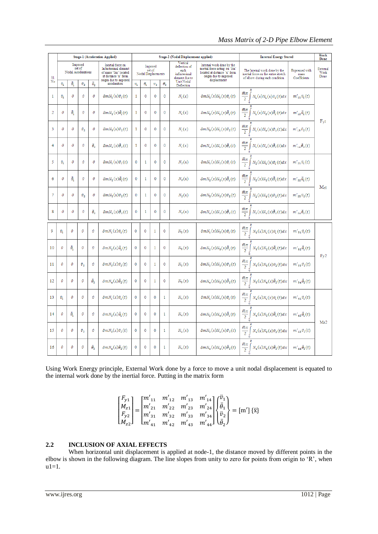|                | <b>Stage-1 (Acceleration Applied)</b>                                                                                                                           |                   |                     |                                          | Stage-2 (Nodal Displacement applied)        |              |                                                                      |                                                                                                                                     |                                                                                                                                                    |                          | <b>Internal Energy Stored</b>                          |                                                                                        | Work<br>Done                  |          |
|----------------|-----------------------------------------------------------------------------------------------------------------------------------------------------------------|-------------------|---------------------|------------------------------------------|---------------------------------------------|--------------|----------------------------------------------------------------------|-------------------------------------------------------------------------------------------------------------------------------------|----------------------------------------------------------------------------------------------------------------------------------------------------|--------------------------|--------------------------------------------------------|----------------------------------------------------------------------------------------|-------------------------------|----------|
| S1.            | Imposed<br>Inertial force on<br>set of<br>Infinitesimal element<br>Nodal Accelerations<br>of mass 'om' located<br>at distance 'x' from<br>origin due to imposed |                   |                     | Imposed<br>set of<br>Nodal Displacements |                                             |              | Vertical<br>deflection of<br>each<br>infinitesimal<br>element due to | Internal work done by the<br>inertial force acting on 'om'<br>located at distance 'x' from<br>origin due to imposed<br>displacement | The Internal work done by the<br>Expressed with<br>inertial force on the entire stretch<br>mass<br>Coefficients<br>of elbow during each condition. |                          | External<br>Work<br>Done                               |                                                                                        |                               |          |
| No             | ü,                                                                                                                                                              | ä,                | $\ddot{v}_2$        | $\ddot{\theta}_2$                        | acceleration                                | $v_{\rm t}$  | $\theta_1$                                                           | $\boldsymbol{v}_2$                                                                                                                  | $\theta_{2}$                                                                                                                                       | Unit Nodal<br>Deflection |                                                        |                                                                                        |                               |          |
| 1              | ü,                                                                                                                                                              | 0                 | 0                   | 0                                        | $\delta m N_1(x)\ddot{v}_1(t)$              | 1            | 0                                                                    | $\mathbf 0$                                                                                                                         | 0                                                                                                                                                  | $N_1(x)$                 | $\delta m N_1(x) N_1(x)$ i, $(t)$                      | $\bar{m}\pi$<br>$N_1(x)N_1(x)\ddot{v}_1(t)dx$<br>$\overline{2}$                        | $m'_{11} \ddot{v}_1(t)$       |          |
| $\overline{2}$ | 0                                                                                                                                                               | $\ddot{\theta}_1$ | 0                   | 0                                        | $\delta m N_2(x)\ddot{\theta}_1(t)$         | 1            | 0                                                                    | 0                                                                                                                                   | 0                                                                                                                                                  | $N_1(x)$                 | $\delta m N_2(x)N_1(x)\ddot{\theta}_1(t)$              | $\bar{m}\pi$<br>$N_1(x)N_2(x)\ddot{\theta}_1(t)dx$<br>$\overline{2}$                   | $m'_{12}\ddot{\theta}_1(t)$   | $F_{v1}$ |
| 3              | 0                                                                                                                                                               | 0                 | $\ddot{v}_2$        | 0                                        | $\delta m N_{\rm a}(x) \ddot{v}_{\rm a}(t)$ | $\mathbf{1}$ | 0                                                                    | 0                                                                                                                                   | 0                                                                                                                                                  | $N_1(x)$                 | $\delta m N_z(x)N_1(x)\ddot{v}_2(t)$                   | $\bar{m}\pi$<br>$N_1(x)N_2(x)\ddot{v}_2(t)dx$<br>$\overline{2}$<br>ö                   | $m'_{12}\ddot{v}_2(t)$        |          |
| 4              | 0                                                                                                                                                               | 0                 | 0                   | $\ddot{\theta}_2$                        | $\delta m N_4(x)\ddot{\theta}_2(t)$         | 1            | 0                                                                    | 0                                                                                                                                   | 0                                                                                                                                                  | $N_1(x)$                 | $\delta m N_4(x)N_1(x)\ddot{\theta}_2(t)$              | $\bar{m}\pi$<br>$N_1(x)N_4(x)\ddot{\theta}_2(t)dx$<br>$\overline{2}$                   | $m{'}_{14}\ddot{\theta}_2(t)$ |          |
| 5              | ü                                                                                                                                                               | 0                 | 0                   | 0                                        | $\delta m N_1(x) \ddot{v}_1(t)$             | $\mathbf 0$  | 1                                                                    | $\mathbf 0$                                                                                                                         | $\mathbf 0$                                                                                                                                        | $N_2(x)$                 | $\delta m N_1(x) N_2(x) \ddot{v}_1(t)$                 | $\bar{m}\pi$<br>$N_2(x)N_1(x)\ddot{v}_1(t)dx$<br>$\overline{2}$                        | $m'_{21} \ddot{v}_1(t)$       |          |
| 6              | 0                                                                                                                                                               | $\ddot{\theta}_1$ | 0                   | 0                                        | $\delta m N_2(x)\ddot{\theta}_1(t)$         | 0            | 1                                                                    | 0                                                                                                                                   | 0                                                                                                                                                  | $N_2(x)$                 | $\delta m N_2(x)N_2(x)\ddot{\theta}_1(t)$              | $\bar{m}\pi$<br>$N_2(x)N_2(x)\ddot{\theta}_1(t)dx$<br>$\overline{2}$                   | $m'_{22}\ddot{\theta}_1(t)$   | $M_{21}$ |
| $\overline{7}$ | 0                                                                                                                                                               | 0                 | $\ddot{v}_2$        | $\theta$                                 | $\delta m N_2(x)\ddot{v}_2(t)$              | $\mathbf 0$  | 1                                                                    | $\mathbf 0$                                                                                                                         | 0                                                                                                                                                  | $N_2(x)$                 | $\delta m N_{\rm s}(x)N_{\rm z}(x)\ddot{v}_{\rm z}(t)$ | $\bar{m}\pi$<br>$N_2(x)N_2(x)v_2(t)dx$<br>$\overline{2}$                               | $m'_{23}\ddot{v}_2(t)$        |          |
| 8              | 0                                                                                                                                                               | 0                 | 0                   | $\ddot{\theta}_2$                        | $\delta m N_4(x)\ddot{\theta}_2(t)$         | 0            | 1                                                                    | 0                                                                                                                                   | 0                                                                                                                                                  | $N_2(x)$                 | $\delta m N_4(x)N_2(x)\ddot{\theta}_2(t)$              | $\bar{m}\pi$<br>$N_2(x)N_4(x)\ddot{\theta}_2(t)dx$<br>$\overline{2}$                   | $m'{}_{24}\ddot{\theta}_2(t)$ |          |
| 9              | ü,                                                                                                                                                              | 0                 | 0                   | 0                                        | $\delta m N_1(x) \ddot{v}_1(t)$             | $\mathbf 0$  | $\mathbf 0$                                                          | 1                                                                                                                                   | $\mathbf 0$                                                                                                                                        | $N_2(x)$                 | $\delta m N_1(x) N_2(x) i_1^2(t)$                      | $\bar{m}\pi$<br>$N_2(x)N_1(x)\ddot{v}_1(t)dx$<br>$\overline{2}$                        | $m{'}_{31}\ddot{v}_1(t)$      |          |
| 10             | 0                                                                                                                                                               | $\ddot{\theta}_1$ | 0                   | 0                                        | $\delta m N_{2}(x)\ddot{\theta}_{1}(t)$     | $\mathbf 0$  | 0                                                                    | 1                                                                                                                                   | 0                                                                                                                                                  | $N_2(x)$                 | $\delta m N_2(x)N_3(x)\ddot{\theta}_1(t)$              | $\bar{m}\pi$<br>$N_{3}(x)N_{2}(x)\ddot{\theta}_{1}(t)dx$<br>$\overline{2}$             | $m'{}_{32}\ddot{\theta}_1(t)$ | Fy2      |
| 11             | 0                                                                                                                                                               | 0                 | $\ddot{\upsilon}_2$ | 0                                        | $\delta m N_{\rm s}(x)\ddot{v}_{\rm z}(t)$  | $\mathbf 0$  | $\mathbf 0$                                                          | 1                                                                                                                                   | 0                                                                                                                                                  | $N_2(x)$                 | $\delta m N_{\rm s}(x)N_{\rm s}(x)\ddot{v}_{\rm s}(t)$ | $\bar{m}\pi$<br>$N_{2}(x)N_{2}(x)\ddot{v}_{2}(t)dx$<br>$\overline{2}$                  | $m'_{22}\ddot{v}_2(t)$        |          |
| 12             | $\theta$                                                                                                                                                        | 0                 | 0                   | ä,                                       | $\delta m N_{4}(x)\ddot{\theta}_{2}(t)$     | 0            | $\mathbf 0$                                                          | 1                                                                                                                                   | 0                                                                                                                                                  | $N_{2}(x)$               | $\delta m N_4(x)N_3(x)\ddot{\theta}_2(t)$              | $\bar{m}\pi$<br>$N_{\rm a}(x)N_{\rm a}(x)\ddot{\theta}_{\rm a}(t)dx$<br>$\overline{2}$ | $m'_{34}\ddot{\theta}_2(t)$   |          |
| 13             | ü,                                                                                                                                                              | 0                 | 0                   | 0                                        | $\delta m N_1(x)\ddot{v}_1(t)$              | $\mathbf 0$  | 0                                                                    | 0                                                                                                                                   | 1                                                                                                                                                  | $N_4(x)$                 | $\delta m N_1(x) N_4(x) \ddot{v}_1(t)$                 | $\bar{m}\pi$<br>$N_4(x)N_1(x)\ddot{v}_1(t)dx$<br>$\overline{2}$<br>n                   | $m'_{41}\ddot{v}_1(t)$        |          |
| 14             | 0                                                                                                                                                               | ä,                | 0                   | 0                                        | $\delta m N_{2}(x)\ddot{\theta}_{1}(t)$     | 0            | 0                                                                    | 0                                                                                                                                   | 1                                                                                                                                                  | $N_4(x)$                 | $\delta m N_2(x)N_4(x)\ddot{\theta}_1(t)$              | $\bar{m}\pi$<br>$N_4(x)N_2(x)\ddot{\theta}_1(t)dx$<br>$\overline{2}$<br>ō              | $m'_{42}\ddot{\theta}_1(t)$   | Mz2      |
| 15             | 0                                                                                                                                                               | 0                 | $\ddot{v}_2$        | 0                                        | $\delta m N_{\rm s}(x) \ddot{v}_{\rm z}(t)$ | $\mathbf 0$  | 0                                                                    | 0                                                                                                                                   | 1                                                                                                                                                  | $N_4(x)$                 | $\delta m N_2(x)N_4(x)\ddot{v}_2(t)$                   | $\bar{m}\pi$<br>$N_4(x)N_3(x)\ddot{v}_2(t)dx$<br>$\overline{2}$                        | $m'_{43}\ddot{v}_2(t)$        |          |
| 16             | $\theta$                                                                                                                                                        | 0                 | 0                   | $\ddot{\theta}_2$                        | $\delta m N_4(x)\ddot{\theta}_2(t)$         | 0            | 0                                                                    | 0                                                                                                                                   | 1                                                                                                                                                  | $N_4(x)$                 | $\delta m N_{4}(x)N_{4}(x)\ddot{\theta}_{2}(t)$        | $\bar{m}\pi$<br>$N_4(x)N_4(x)\ddot{\theta}_2(t)dx$<br>$\overline{2}$                   | $m'_{44}\ddot{\theta}_2(t)$   |          |

Using Work Energy principle, External Work done by a force to move a unit nodal displacement is equated to the internal work done by the inertial force. Putting in the matrix form

$$
\begin{bmatrix} F_{y1} \\ M_{z1} \\ F_{y2} \\ M_{z2} \end{bmatrix} = \begin{bmatrix} m'_{11} & m'_{12} & m'_{13} & m'_{14} \\ m'_{21} & m'_{22} & m'_{23} & m'_{24} \\ m'_{31} & m'_{32} & m'_{33} & m'_{34} \\ m'_{41} & m'_{42} & m'_{43} & m'_{44} \end{bmatrix} \begin{bmatrix} \ddot{v}_{1} \\ \ddot{\theta}_{1} \\ \ddot{v}_{2} \\ \ddot{\theta}_{2} \end{bmatrix} = [m'] \{\ddot{x}\}
$$

## **2.2 INCLUSION OF AXIAL EFFECTS**

When horizontal unit displacement is applied at node-1, the distance moved by different points in the elbow is shown in the following diagram. The line slopes from unity to zero for points from origin to 'R', when  $u1=1.$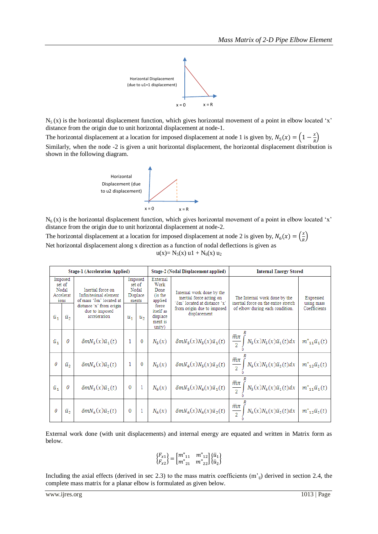

 $N_5(x)$  is the horizontal displacement function, which gives horizontal movement of a point in elbow located 'x' distance from the origin due to unit horizontal displacement at node-1.

The horizontal displacement at a location for imposed displacement at node 1 is given by,  $N_5(x) = \left(1 - \frac{x}{R}\right)^{x}$  $\frac{\lambda}{R}$ 

Similarly, when the node -2 is given a unit horizontal displacement, the horizontal displacement distribution is shown in the following diagram.



 $N_6(x)$  is the horizontal displacement function, which gives horizontal movement of a point in elbow located 'x' distance from the origin due to unit horizontal displacement at node-2.

The horizontal displacement at a location for imposed displacement at node 2 is given by,  $N_6(x) = \left(\frac{x}{b}\right)^2$  $\frac{x}{R}$ 

Net horizontal displacement along x direction as a function of nodal deflections is given as  $u(x)= N_5(x) u1 + N_6(x) u_2$ 

|                                                 |              | <b>Stage-1 (Acceleration Applied)</b>                                                             |                                                                                |                                                                                                            |                    | Stage-2 (Nodal Displacement applied)                                                                                | <b>Internal Energy Stored</b>                                                                            |                                         |  |  |
|-------------------------------------------------|--------------|---------------------------------------------------------------------------------------------------|--------------------------------------------------------------------------------|------------------------------------------------------------------------------------------------------------|--------------------|---------------------------------------------------------------------------------------------------------------------|----------------------------------------------------------------------------------------------------------|-----------------------------------------|--|--|
| Imposed<br>set of<br>Nodal<br>Accelerat<br>ions |              | Inertial force on<br>Infinitesimal element<br>of mass 'om' located at<br>distance 'x' from origin |                                                                                | External<br>Imposed<br>Work<br>set of<br>Nodal<br>Done<br>(is the<br>Displace<br>applied<br>ments<br>force |                    | Internal work done by the<br>inertial force acting on<br>'8m' located at distance 'x'<br>from origin due to imposed | The Internal work done by the<br>inertial force on the entire stretch<br>of elbow during each condition. | Expressed<br>using mass<br>Coefficients |  |  |
| ü,                                              | ü,           | due to imposed<br>acceleration                                                                    | itself as<br>displacement<br>displace<br>$u_1$<br>$u_{2}$<br>ment is<br>unity) |                                                                                                            |                    |                                                                                                                     |                                                                                                          |                                         |  |  |
| $\ddot{u}_1$                                    | 0            | $\delta m N_5(x)$ ü <sub>1</sub> (t)                                                              | $\mathbf{1}$                                                                   | $\mathbf 0$                                                                                                | $N_5(x)$           | $\delta m N_5(x) N_5(x) u_1(t)$                                                                                     | $\frac{\bar{m}\pi}{2}\int N_5(x)N_5(x)\ddot{u}_1(t)dx \mid m''_{11}\ddot{u}_1(t)$                        |                                         |  |  |
| 0                                               | $\ddot{u}_2$ | $\delta m N_6(x)$ ü <sub>2</sub> (t)                                                              | $\mathbf{1}$                                                                   | $\mathbf{0}$                                                                                               | $N_5(x)$           | $\delta m N_6(x) N_5(x) u_2(t)$                                                                                     | $\frac{\bar{m}\pi}{2}\int N_6(x)N_5(x)\ddot{u_2}(t)dx \mid m''_{12}\ddot{u_2}(t)$                        |                                         |  |  |
| $\ddot{u}_1$                                    | 0            | $\delta m N_5(x)$ $ii_1(t)$                                                                       | $\mathbf{0}$                                                                   | 1                                                                                                          | $N_6(x)$           | $\delta m N_5(x) N_6(x) \ddot{u}_1(t)$                                                                              | $\frac{\bar{m}\pi}{2}\int N_5(x)N_6(x)\ddot{u}_1(t)dx \mid m''_{11}\ddot{u}_1(t)$                        |                                         |  |  |
| 0                                               | $\ddot{u}_2$ | $\delta m N_6(x) u_2(t)$                                                                          | $\mathbf{0}$                                                                   | 1                                                                                                          | N <sub>6</sub> (x) | $\delta m N_6(x)N_6(x)\ddot{u}_2(t)$                                                                                | $\frac{\bar{m}\pi}{2}\int N_6(x)N_6(x)\ddot{u_2}(t)dx \mid m_{12}^{\circ}\ddot{u_2}(t)$                  |                                         |  |  |

External work done (with unit displacements) and internal energy are equated and written in Matrix form as below.

$$
\begin{Bmatrix} F_{x1} \\ F_{x2} \end{Bmatrix} = \begin{bmatrix} m''_{11} & m''_{12} \\ m''_{21} & m''_{22} \end{bmatrix} \begin{Bmatrix} \ddot{u}_1 \\ \ddot{u}_2 \end{Bmatrix}
$$

Including the axial effects (derived in sec 2.3) to the mass matrix coefficients  $(m<sub>i</sub>)$  derived in section 2.4, the complete mass matrix for a planar elbow is formulated as given below.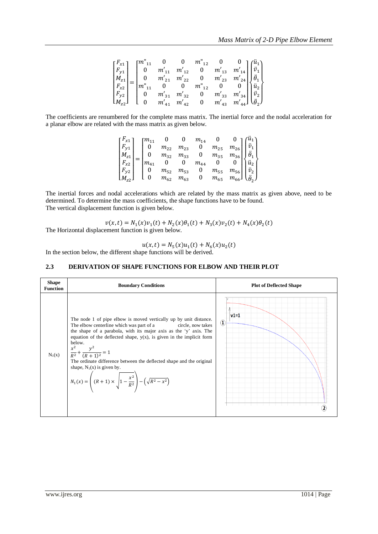$$
\begin{bmatrix} F_{x1} \\ F_{y1} \\ M_{z1} \\ F_{x2} \\ M_{z2} \end{bmatrix} = \begin{bmatrix} m_{~11}^{v} & 0 & 0 & m_{~12}^{v} & 0 & 0 \\ 0 & m_{~11}^{v} & m_{~12}^{v} & 0 & m_{~13}^{v} & m_{~14}^{v} \\ 0 & m_{~21}^{v} & m_{~22}^{v} & 0 & m_{~23}^{v} & m_{~24}^{v} \\ m_{~11}^{v} & 0 & 0 & m_{~12}^{v} & 0 & 0 \\ 0 & m_{~31}^{v} & m_{~32}^{v} & 0 & m_{~33}^{v} & m_{~34}^{v} \\ 0 & m_{~41}^{v} & m_{~42}^{v} & 0 & m_{~43}^{v} & m_{~44}^{v} \end{bmatrix} \begin{bmatrix} \ddot{u}_{1} \\ \ddot{v}_{1} \\ \ddot{v}_{1} \\ \ddot{u}_{2} \\ \ddot{v}_{2} \\ \ddot{\theta}_{2} \end{bmatrix}
$$

The coefficients are renumbered for the complete mass matrix. The inertial force and the nodal acceleration for a planar elbow are related with the mass matrix as given below.

$$
\begin{bmatrix} F_{x1} \\ F_{y1} \\ M_{z1} \\ F_{x2} \\ F_{y2} \\ M_{z2} \end{bmatrix} = \begin{bmatrix} m_{11} & 0 & 0 & m_{14} & 0 & 0 \\ 0 & m_{22} & m_{23} & 0 & m_{25} & m_{26} \\ 0 & m_{32} & m_{33} & 0 & m_{35} & m_{36} \\ m_{41} & 0 & 0 & m_{44} & 0 & 0 \\ 0 & m_{52} & m_{53} & 0 & m_{55} & m_{56} \\ 0 & m_{62} & m_{63} & 0 & m_{65} & m_{66} \end{bmatrix} \begin{bmatrix} \ddot{u}_1 \\ \ddot{v}_1 \\ \ddot{d}_1 \\ \ddot{u}_2 \\ \ddot{v}_2 \\ \ddot{\theta}_2 \end{bmatrix}
$$

The inertial forces and nodal accelerations which are related by the mass matrix as given above, need to be determined. To determine the mass coefficients, the shape functions have to be found. The vertical displacement function is given below.

 $v(x,t) = N_1(x)v_1(t) + N_2(x)\theta_1(t) + N_3(x)v_2(t) + N_4(x)\theta_2(t)$ The Horizontal displacement function is given below.

$$
u(x,t) = N_5(x)u_1(t) + N_6(x)u_2(t)
$$
  
In the section below, the different shape functions will be derived.

## **2.3 DERIVATION OF SHAPE FUNCTIONS FOR ELBOW AND THEIR PLOT**

| <b>Shape</b><br><b>Function</b> | <b>Boundary Conditions</b>                                                                                                                                                                                                                                                                                                                                                                                                                                                                                                                              | <b>Plot of Deflected Shape</b>       |
|---------------------------------|---------------------------------------------------------------------------------------------------------------------------------------------------------------------------------------------------------------------------------------------------------------------------------------------------------------------------------------------------------------------------------------------------------------------------------------------------------------------------------------------------------------------------------------------------------|--------------------------------------|
| $N_1(x)$                        | The node 1 of pipe elbow is moved vertically up by unit distance.<br>The elbow centerline which was part of a circle, now takes<br>the shape of a parabola, with its major axis as the 'y' axis. The<br>equation of the deflected shape, $y(x)$ , is given in the implicit form<br>below.<br>$\frac{x^2}{R^2} + \frac{y^2}{(R+1)^2} = 1$<br>The ordinate difference between the deflected shape and the original<br>shape, $N_1(x)$ is given by.<br>$N_1(x) = \left( (R+1) \times \sqrt{1 - \frac{x^2}{R^2}} \right) - \left( \sqrt{R^2 - x^2} \right)$ | $v1=1$<br>$\left( \mathbf{1}\right)$ |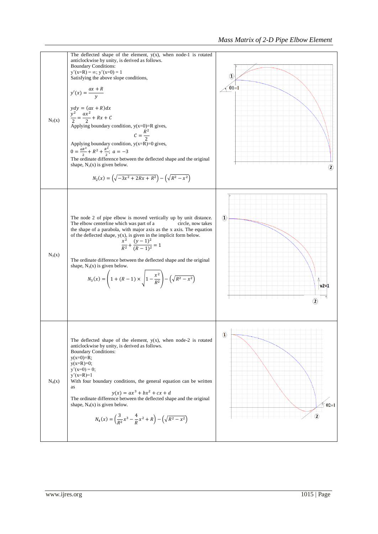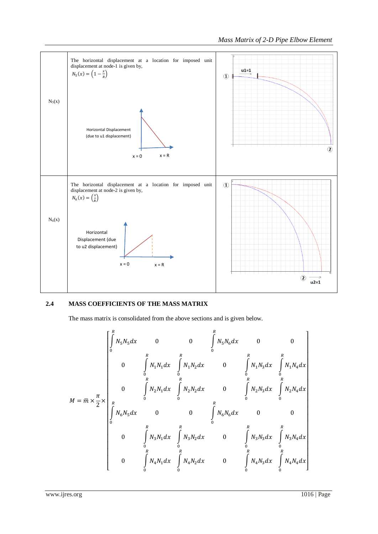

## **2.4 MASS COEFFICIENTS OF THE MASS MATRIX**

The mass matrix is consolidated from the above sections and is given below.

$$
M = \overline{m} \times \frac{\pi}{2} \times \begin{bmatrix} \int_{0}^{R} N_{5} N_{5} dx & 0 & 0 & \int_{0}^{R} N_{5} N_{6} dx & 0 & 0 \\ 0 & \int_{0}^{R} N_{1} N_{1} dx & \int_{0}^{R} N_{1} N_{2} dx & 0 & \int_{0}^{R} N_{1} N_{3} dx & \int_{0}^{R} N_{1} N_{4} dx \\ 0 & \int_{0}^{R} N_{2} N_{1} dx & \int_{0}^{R} N_{2} N_{2} dx & 0 & \int_{0}^{R} N_{2} N_{3} dx & \int_{0}^{R} N_{2} N_{4} dx \\ \int_{0}^{R} N_{6} N_{5} dx & 0 & 0 & \int_{0}^{R} N_{6} N_{6} dx & 0 & 0 \\ 0 & \int_{0}^{R} N_{3} N_{1} dx & \int_{0}^{R} N_{3} N_{2} dx & 0 & \int_{0}^{R} N_{3} N_{3} dx & \int_{0}^{R} N_{3} N_{4} dx \\ 0 & \int_{0}^{R} N_{4} N_{1} dx & \int_{0}^{R} N_{4} N_{2} dx & 0 & \int_{0}^{R} N_{4} N_{3} dx & \int_{0}^{R} N_{4} N_{4} dx \end{bmatrix}
$$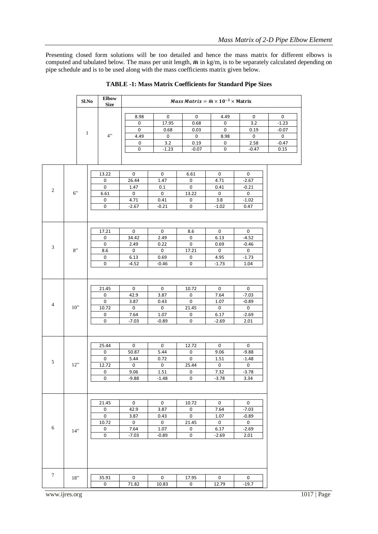Presenting closed form solutions will be too detailed and hence the mass matrix for different elbows is computed and tabulated below. The mass per unit length,  $\bar{m}$  in kg/m, is to be separately calculated depending on pipe schedule and is to be used along with the mass coefficients matrix given below.

| Sl.No | Elbow<br><b>Size</b> | <i>Mass Matrix</i> = $\bar{m} \times 10^{-2} \times$ Matrix |         |              |       |         |         |     |         |  |  |
|-------|----------------------|-------------------------------------------------------------|---------|--------------|-------|---------|---------|-----|---------|--|--|
|       |                      | 8.98                                                        |         |              | 4.49  |         |         |     |         |  |  |
|       |                      |                                                             |         | <sup>0</sup> | 17.95 | 0.68    |         | 3.2 | $-1.23$ |  |  |
|       |                      |                                                             | 0.68    | 0.03         |       | 0.19    | $-0.07$ |     |         |  |  |
|       | 4"                   | 4.49                                                        |         |              | 8.98  |         |         |     |         |  |  |
|       |                      |                                                             | 3.2     | 0.19         |       | 2.58    | $-0.47$ |     |         |  |  |
|       |                      |                                                             | $-1.23$ | $-0.07$      |       | $-0.47$ | 0.15    |     |         |  |  |
|       |                      |                                                             |         |              |       |         |         |     |         |  |  |
|       |                      |                                                             |         |              |       |         |         |     |         |  |  |

|  |  |  | <b>TABLE -1: Mass Matrix Coefficients for Standard Pipe Sizes</b> |  |  |  |  |
|--|--|--|-------------------------------------------------------------------|--|--|--|--|
|--|--|--|-------------------------------------------------------------------|--|--|--|--|

|                |       | 13.22            | 0           | 0           | 6.61        | 0           | 0           |
|----------------|-------|------------------|-------------|-------------|-------------|-------------|-------------|
|                |       | 0                | 26.44       | 1.47        | $\pmb{0}$   | 4.71        | $-2.67$     |
| $\overline{c}$ |       | 0                | 1.47        | 0.1         | 0           | 0.41        | $-0.21$     |
|                | 6"    | 6.61             | $\mathbf 0$ | $\mathbf 0$ | 13.22       | $\mathbf 0$ | $\mathbf 0$ |
|                |       | 0                | 4.71        | 0.41        | 0           | 3.8         | $-1.02$     |
|                |       | 0                | $-2.67$     | $-0.21$     | 0           | $-1.02$     | 0.47        |
|                |       |                  |             |             |             |             |             |
|                |       |                  |             |             |             |             |             |
|                |       |                  |             |             |             |             |             |
|                |       | 17.21            | 0           | 0           | 8.6         | 0           | 0           |
|                |       | 0                | 34.42       | 2.49        | 0           | 6.13        | $-4.52$     |
| 3              |       | 0                | 2.49        | 0.22        | 0           | 0.69        | $-0.46$     |
|                | 8"    | 8.6              | 0           | $\mathbf 0$ | 17.21       | $\mathbf 0$ | $\mathbf 0$ |
|                |       | 0                | 6.13        | 0.69        | 0           | 4.95        | $-1.73$     |
|                |       | 0                | $-4.52$     | $-0.46$     | 0           | $-1.73$     | 1.04        |
|                |       |                  |             |             |             |             |             |
|                |       |                  |             |             |             |             |             |
|                |       | 21.45            | 0           | 0           | 10.72       | 0           | 0           |
|                |       | 0                | 42.9        | 3.87        | $\pmb{0}$   | 7.64        | $-7.03$     |
|                |       | 0                | 3.87        | 0.43        | $\mathbf 0$ | 1.07        | $-0.89$     |
| 4              | $10"$ | 10.72            | $\mathbf 0$ | $\mathbf 0$ | 21.45       | $\mathbf 0$ | $\mathbf 0$ |
|                |       | 0                | 7.64        | 1.07        | 0           | 6.17        | $-2.69$     |
|                |       | 0                | $-7.03$     | $-0.89$     | 0           | $-2.69$     | 2.01        |
|                |       |                  |             |             |             |             |             |
|                |       |                  |             |             |             |             |             |
|                |       |                  |             |             |             |             |             |
|                |       | 25.44            | 0           | 0           | 12.72       | 0           | 0           |
|                |       | 0                | 50.87       | 5.44        | 0           | 9.06        | $-9.88$     |
|                |       | 0                | 5.44        | 0.72        | 0           | 1.51        | $-1.48$     |
| 5              | 12"   | 12.72            | $\mathbf 0$ | $\mathbf 0$ | 25.44       | $\mathbf 0$ | $\mathbf 0$ |
|                |       | 0                | 9.06        | 1.51        | 0           | 7.32        | $-3.78$     |
|                |       | $\mathbf{0}$     | $-9.88$     | $-1.48$     | $\mathbf 0$ | $-3.78$     | 3.34        |
|                |       |                  |             |             |             |             |             |
|                |       |                  |             |             |             |             |             |
|                |       |                  |             |             |             |             |             |
|                |       | 21.45            | 0           | $\mathbf 0$ | 10.72       | $\mathbf 0$ | $\mathbf 0$ |
|                |       | 0                | 42.9        | 3.87        | 0           | 7.64        | $-7.03$     |
|                |       | 0                | 3.87        | 0.43        | 0           | 1.07        | $-0.89$     |
|                |       | 10.72            | $\mathbf 0$ | $\mathbf 0$ | 21.45       | $\mathbf 0$ | $\mathbf 0$ |
| 6              | 14"   | 0                | 7.64        | 1.07        | 0           | 6.17        | $-2.69$     |
|                |       | $\boldsymbol{0}$ | $-7.03$     | $-0.89$     | 0           | $-2.69$     | 2.01        |
|                |       |                  |             |             |             |             |             |
|                |       |                  |             |             |             |             |             |
|                |       |                  |             |             |             |             |             |
|                |       |                  |             |             |             |             |             |
|                |       |                  |             |             |             |             |             |
| 7              | 18"   | 35.91            | 0           | 0           | 17.95       | 0           | 0           |
|                |       | 0                | 71.82       | 10.83       | 0           | 12.79       | $-19.7$     |
|                |       |                  |             |             |             |             |             |